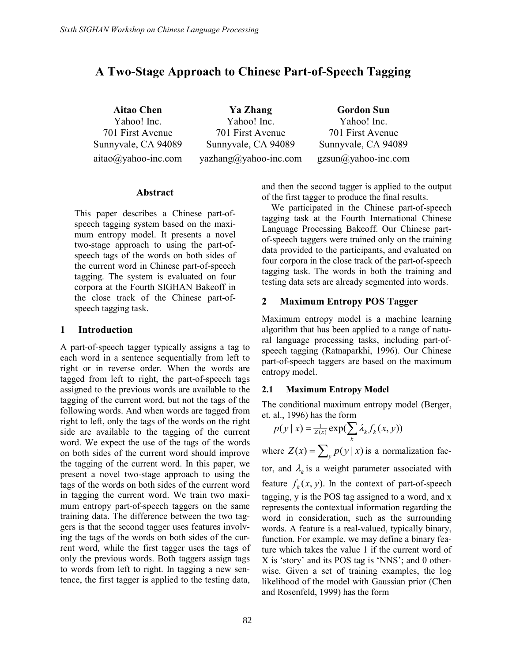# A Two-Stage Approach to Chinese Part-of-Speech Tagging

Aitao Chen Yahoo! Inc. 701 First Avenue Sunnyvale, CA 94089 aitao@yahoo-inc.com

Ya Zhang Yahoo! Inc. 701 First Avenue Sunnyvale, CA 94089 yazhang@yahoo-inc.com

Gordon Sun Yahoo! Inc. 701 First Avenue Sunnyvale, CA 94089 gzsun@yahoo-inc.com

### Abstract

This paper describes a Chinese part-ofspeech tagging system based on the maximum entropy model. It presents a novel two-stage approach to using the part-ofspeech tags of the words on both sides of the current word in Chinese part-of-speech tagging. The system is evaluated on four corpora at the Fourth SIGHAN Bakeoff in the close track of the Chinese part-ofspeech tagging task.

#### 1 Introduction

A part-of-speech tagger typically assigns a tag to each word in a sentence sequentially from left to right or in reverse order. When the words are tagged from left to right, the part-of-speech tags assigned to the previous words are available to the tagging of the current word, but not the tags of the following words. And when words are tagged from right to left, only the tags of the words on the right side are available to the tagging of the current word. We expect the use of the tags of the words on both sides of the current word should improve the tagging of the current word. In this paper, we present a novel two-stage approach to using the tags of the words on both sides of the current word in tagging the current word. We train two maximum entropy part-of-speech taggers on the same training data. The difference between the two taggers is that the second tagger uses features involving the tags of the words on both sides of the current word, while the first tagger uses the tags of only the previous words. Both taggers assign tags to words from left to right. In tagging a new sentence, the first tagger is applied to the testing data,

and then the second tagger is applied to the output of the first tagger to produce the final results.

We participated in the Chinese part-of-speech tagging task at the Fourth International Chinese Language Processing Bakeoff. Our Chinese partof-speech taggers were trained only on the training data provided to the participants, and evaluated on four corpora in the close track of the part-of-speech tagging task. The words in both the training and testing data sets are already segmented into words.

### 2 Maximum Entropy POS Tagger

Maximum entropy model is a machine learning algorithm that has been applied to a range of natural language processing tasks, including part-ofspeech tagging (Ratnaparkhi, 1996). Our Chinese part-of-speech taggers are based on the maximum entropy model.

#### 2.1 Maximum Entropy Model

The conditional maximum entropy model (Berger, et. al., 1996) has the form

$$
p(y \mid x) = \frac{1}{Z(x)} \exp(\sum_{k} \lambda_{k} f_{k}(x, y))
$$

k where  $Z(x) = \sum_{y} p(y | x)$  is a normalization factor, and  $\lambda_k$  is a weight parameter associated with feature  $f_k(x, y)$ . In the context of part-of-speech tagging, y is the POS tag assigned to a word, and x represents the contextual information regarding the word in consideration, such as the surrounding words. A feature is a real-valued, typically binary, function. For example, we may define a binary feature which takes the value 1 if the current word of X is 'story' and its POS tag is 'NNS'; and 0 otherwise. Given a set of training examples, the log

likelihood of the model with Gaussian prior (Chen

and Rosenfeld, 1999) has the form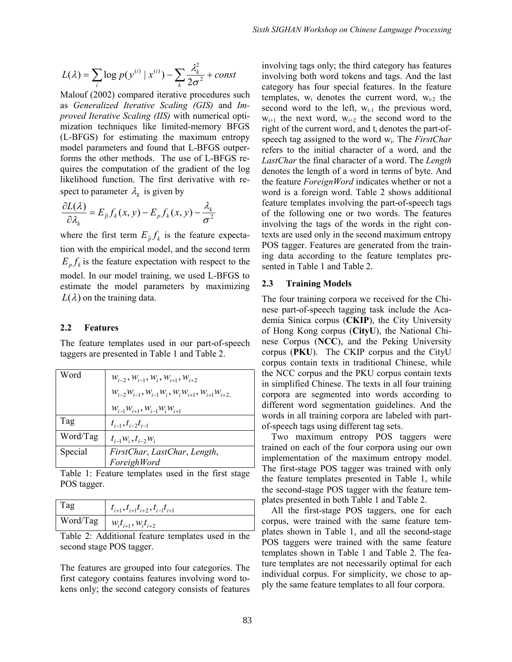$$
L(\lambda) = \sum_{i} \log p(y^{(i)} | x^{(i)}) - \sum_{k} \frac{\lambda_k^2}{2\sigma^2} + const
$$

Malouf (2002) compared iterative procedures such as Generalized Iterative Scaling (GIS) and Improved Iterative Scaling (IIS) with numerical optimization techniques like limited-memory BFGS (L-BFGS) for estimating the maximum entropy model parameters and found that L-BFGS outperforms the other methods. The use of L-BFGS requires the computation of the gradient of the log likelihood function. The first derivative with respect to parameter  $\lambda_k$  is given by

$$
\frac{\partial L(\lambda)}{\partial \lambda_k} = E_{\widetilde{p}} f_k(x, y) - E_p f_k(x, y) - \frac{\lambda_k}{\sigma^2}
$$

where the first term  $E_{\tilde{p}} f_k$  is the feature expectation with the empirical model, and the second term  $E_{n} f_{k}$  is the feature expectation with respect to the model. In our model training, we used L-BFGS to estimate the model parameters by maximizing  $L(\lambda)$  on the training data.

#### 2.2 Features

The feature templates used in our part-of-speech taggers are presented in Table 1 and Table 2.

| Word                     | $W_{i-2}$ , $W_{i-1}$ , $W_i$ , $W_{i+1}$ , $W_{i+2}$<br>$W_{i-2}W_{i-1}$ , $W_{i-1}W_i$ , $W_iW_{i+1}$ , $W_{i+1}W_{i+2}$ |
|--------------------------|----------------------------------------------------------------------------------------------------------------------------|
|                          | $W_{i-1}W_{i+1}$ , $W_{i-1}W_iW_{i+1}$                                                                                     |
| Tag                      | $t_{i-1}, t_{i-2}t_{i-1}$                                                                                                  |
| Word/Tag                 | $t_{i-1}W_i, t_{i-2}W_i$                                                                                                   |
| Special                  | FirstChar, LastChar, Length,                                                                                               |
|                          | ForeighWord                                                                                                                |
| $\overline{\phantom{0}}$ |                                                                                                                            |

Table 1: Feature templates used in the first stage POS tagger.

| Tag | $t_{i+1}, t_{i+1}t_{i+2}, t_{i-1}t_{i+1}$                 |  |
|-----|-----------------------------------------------------------|--|
|     | $\overline{\text{Word}}$ Tag   $w_i t_{i+1}, w_i t_{i+2}$ |  |

Table 2: Additional feature templates used in the second stage POS tagger.

The features are grouped into four categories. The first category contains features involving word tokens only; the second category consists of features

involving tags only; the third category has features involving both word tokens and tags. And the last category has four special features. In the feature templates,  $w_i$  denotes the current word,  $w_{i-2}$  the second word to the left,  $w_{i-1}$  the previous word,  $w_{i+1}$  the next word,  $w_{i+2}$  the second word to the right of the current word, and  $t_i$  denotes the part-ofspeech tag assigned to the word  $w_i$ . The FirstChar refers to the initial character of a word, and the LastChar the final character of a word. The Length denotes the length of a word in terms of byte. And the feature ForeignWord indicates whether or not a word is a foreign word. Table 2 shows additional feature templates involving the part-of-speech tags of the following one or two words. The features involving the tags of the words in the right contexts are used only in the second maximum entropy POS tagger. Features are generated from the training data according to the feature templates presented in Table 1 and Table 2.

### 2.3 Training Models

The four training corpora we received for the Chinese part-of-speech tagging task include the Academia Sinica corpus (CKIP), the City University of Hong Kong corpus (CityU), the National Chinese Corpus (NCC), and the Peking University corpus (PKU). The CKIP corpus and the CityU corpus contain texts in traditional Chinese, while the NCC corpus and the PKU corpus contain texts in simplified Chinese. The texts in all four training corpora are segmented into words according to different word segmentation guidelines. And the words in all training corpora are labeled with partof-speech tags using different tag sets.

Two maximum entropy POS taggers were trained on each of the four corpora using our own implementation of the maximum entropy model. The first-stage POS tagger was trained with only the feature templates presented in Table 1, while the second-stage POS tagger with the feature templates presented in both Table 1 and Table 2.

All the first-stage POS taggers, one for each corpus, were trained with the same feature templates shown in Table 1, and all the second-stage POS taggers were trained with the same feature templates shown in Table 1 and Table 2. The feature templates are not necessarily optimal for each individual corpus. For simplicity, we chose to apply the same feature templates to all four corpora.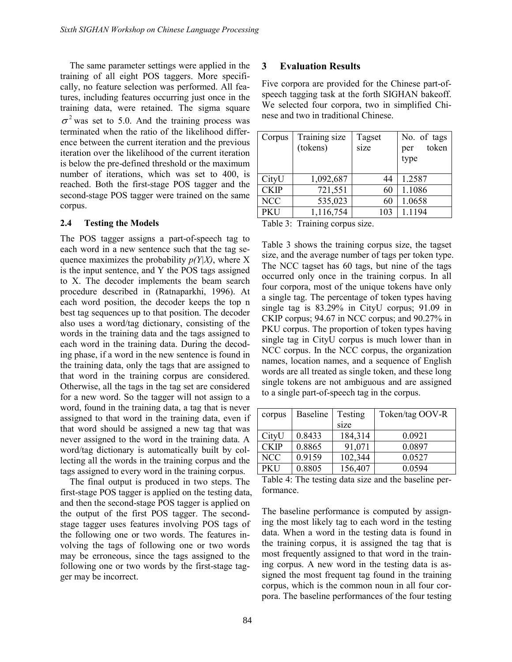The same parameter settings were applied in the training of all eight POS taggers. More specifically, no feature selection was performed. All features, including features occurring just once in the training data, were retained. The sigma square  $\sigma^2$  was set to 5.0. And the training process was terminated when the ratio of the likelihood difference between the current iteration and the previous iteration over the likelihood of the current iteration is below the pre-defined threshold or the maximum number of iterations, which was set to 400, is reached. Both the first-stage POS tagger and the second-stage POS tagger were trained on the same corpus.

### 2.4 Testing the Models

The POS tagger assigns a part-of-speech tag to each word in a new sentence such that the tag sequence maximizes the probability  $p(Y|X)$ , where X is the input sentence, and Y the POS tags assigned to X. The decoder implements the beam search procedure described in (Ratnaparkhi, 1996). At each word position, the decoder keeps the top n best tag sequences up to that position. The decoder also uses a word/tag dictionary, consisting of the words in the training data and the tags assigned to each word in the training data. During the decoding phase, if a word in the new sentence is found in the training data, only the tags that are assigned to that word in the training corpus are considered. Otherwise, all the tags in the tag set are considered for a new word. So the tagger will not assign to a word, found in the training data, a tag that is never assigned to that word in the training data, even if that word should be assigned a new tag that was never assigned to the word in the training data. A word/tag dictionary is automatically built by collecting all the words in the training corpus and the tags assigned to every word in the training corpus.

The final output is produced in two steps. The first-stage POS tagger is applied on the testing data, and then the second-stage POS tagger is applied on the output of the first POS tagger. The secondstage tagger uses features involving POS tags of the following one or two words. The features involving the tags of following one or two words may be erroneous, since the tags assigned to the following one or two words by the first-stage tagger may be incorrect.

# 3 Evaluation Results

Five corpora are provided for the Chinese part-ofspeech tagging task at the forth SIGHAN bakeoff. We selected four corpora, two in simplified Chinese and two in traditional Chinese.

| Corpus      | Training size<br>(tokens) | Tagset<br>size | No. of tags<br>token<br>per<br>type |
|-------------|---------------------------|----------------|-------------------------------------|
| CityU       | 1,092,687                 | 44             | 1.2587                              |
| <b>CKIP</b> | 721,551                   | 60             | 1.1086                              |
| <b>NCC</b>  | 535,023                   | 60             | 1.0658                              |
| <b>PKU</b>  | 1,116,754                 | 103            | 1.1194                              |
|             | ጥ2112 ዓ. ጥ2212122         |                |                                     |

Table 3: Training corpus size.

Table 3 shows the training corpus size, the tagset size, and the average number of tags per token type. The NCC tagset has 60 tags, but nine of the tags occurred only once in the training corpus. In all four corpora, most of the unique tokens have only a single tag. The percentage of token types having single tag is 83.29% in CityU corpus; 91.09 in CKIP corpus; 94.67 in NCC corpus; and 90.27% in PKU corpus. The proportion of token types having single tag in CityU corpus is much lower than in NCC corpus. In the NCC corpus, the organization names, location names, and a sequence of English words are all treated as single token, and these long single tokens are not ambiguous and are assigned to a single part-of-speech tag in the corpus.

| corpus      | <b>Baseline</b> | Testing | Token/tag OOV-R |  |
|-------------|-----------------|---------|-----------------|--|
|             |                 | size    |                 |  |
| CityU       | 0.8433          | 184,314 | 0.0921          |  |
| <b>CKIP</b> | 0.8865          | 91,071  | 0.0897          |  |
| <b>NCC</b>  | 0.9159          | 102,344 | 0.0527          |  |
| PKU         | 0.8805          | 156,407 | 0.0594          |  |

Table 4: The testing data size and the baseline performance.

The baseline performance is computed by assigning the most likely tag to each word in the testing data. When a word in the testing data is found in the training corpus, it is assigned the tag that is most frequently assigned to that word in the training corpus. A new word in the testing data is assigned the most frequent tag found in the training corpus, which is the common noun in all four corpora. The baseline performances of the four testing